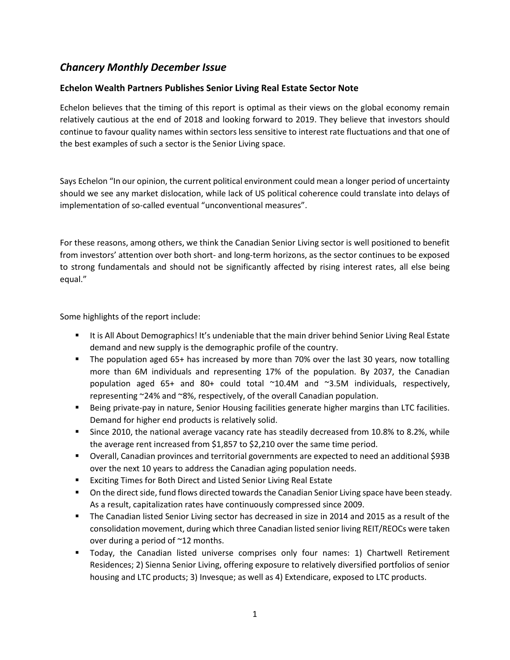## *Chancery Monthly December Issue*

## **Echelon Wealth Partners Publishes Senior Living Real Estate Sector Note**

Echelon believes that the timing of this report is optimal as their views on the global economy remain relatively cautious at the end of 2018 and looking forward to 2019. They believe that investors should continue to favour quality names within sectors less sensitive to interest rate fluctuations and that one of the best examples of such a sector is the Senior Living space.

Says Echelon "In our opinion, the current political environment could mean a longer period of uncertainty should we see any market dislocation, while lack of US political coherence could translate into delays of implementation of so-called eventual "unconventional measures".

For these reasons, among others, we think the Canadian Senior Living sector is well positioned to benefit from investors' attention over both short- and long-term horizons, as the sector continues to be exposed to strong fundamentals and should not be significantly affected by rising interest rates, all else being equal."

Some highlights of the report include:

- It is All About Demographics! It's undeniable that the main driver behind Senior Living Real Estate demand and new supply is the demographic profile of the country.
- The population aged 65+ has increased by more than 70% over the last 30 years, now totalling more than 6M individuals and representing 17% of the population. By 2037, the Canadian population aged 65+ and 80+ could total ~10.4M and ~3.5M individuals, respectively, representing ~24% and ~8%, respectively, of the overall Canadian population.
- **E** Being private-pay in nature, Senior Housing facilities generate higher margins than LTC facilities. Demand for higher end products is relatively solid.
- Since 2010, the national average vacancy rate has steadily decreased from 10.8% to 8.2%, while the average rent increased from \$1,857 to \$2,210 over the same time period.
- Overall, Canadian provinces and territorial governments are expected to need an additional \$93B over the next 10 years to address the Canadian aging population needs.
- Exciting Times for Both Direct and Listed Senior Living Real Estate
- On the direct side, fund flows directed towards the Canadian Senior Living space have been steady. As a result, capitalization rates have continuously compressed since 2009.
- The Canadian listed Senior Living sector has decreased in size in 2014 and 2015 as a result of the consolidation movement, during which three Canadian listed senior living REIT/REOCs were taken over during a period of ~12 months.
- Today, the Canadian listed universe comprises only four names: 1) Chartwell Retirement Residences; 2) Sienna Senior Living, offering exposure to relatively diversified portfolios of senior housing and LTC products; 3) Invesque; as well as 4) Extendicare, exposed to LTC products.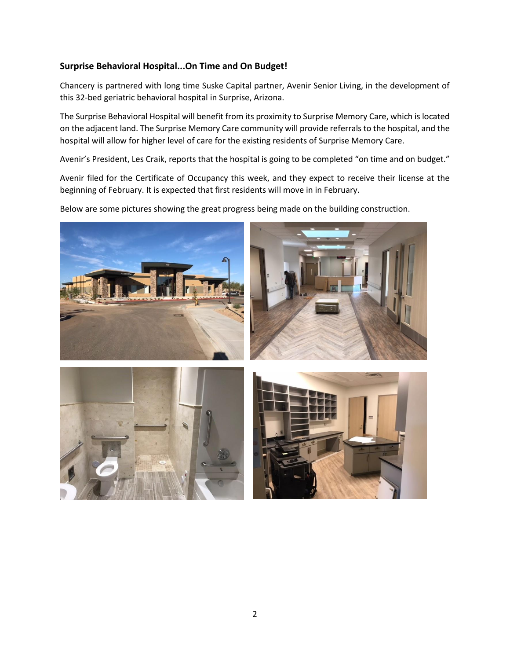## **Surprise Behavioral Hospital...On Time and On Budget!**

Chancery is partnered with long time Suske Capital partner, Avenir Senior Living, in the development of this 32-bed geriatric behavioral hospital in Surprise, Arizona.

The Surprise Behavioral Hospital will benefit from its proximity to Surprise Memory Care, which is located on the adjacent land. The Surprise Memory Care community will provide referrals to the hospital, and the hospital will allow for higher level of care for the existing residents of Surprise Memory Care.

Avenir's President, Les Craik, reports that the hospital is going to be completed "on time and on budget."

Avenir filed for the Certificate of Occupancy this week, and they expect to receive their license at the beginning of February. It is expected that first residents will move in in February.

Below are some pictures showing the great progress being made on the building construction.